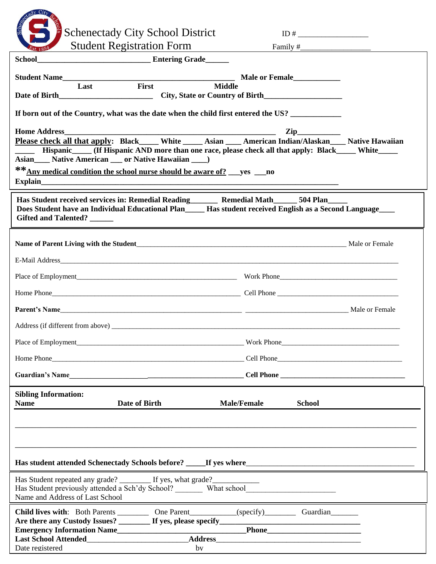| $\Delta y$ City<br><b>Schenectady City School District</b>                                                                                                                                                                                                                                                                                                                                                                                                                                                                               |                                     |  |
|------------------------------------------------------------------------------------------------------------------------------------------------------------------------------------------------------------------------------------------------------------------------------------------------------------------------------------------------------------------------------------------------------------------------------------------------------------------------------------------------------------------------------------------|-------------------------------------|--|
| <b>Student Registration Form</b><br>School<br><b>Entering Grade</b>                                                                                                                                                                                                                                                                                                                                                                                                                                                                      |                                     |  |
|                                                                                                                                                                                                                                                                                                                                                                                                                                                                                                                                          |                                     |  |
| First<br>Last<br><b>Middle</b>                                                                                                                                                                                                                                                                                                                                                                                                                                                                                                           |                                     |  |
|                                                                                                                                                                                                                                                                                                                                                                                                                                                                                                                                          |                                     |  |
| If born out of the Country, what was the date when the child first entered the US?                                                                                                                                                                                                                                                                                                                                                                                                                                                       |                                     |  |
| <b>Home Address</b><br>$\overline{\text{Zip}}$<br>Please check all that apply: Black____ White ____ Asian ___ American Indian/Alaskan___ Native Hawaiian<br><b>EXAMPLE 1.1 FOR THE EXAMPLE 1.1 FOR THE EXAMPLE 1.1 FOR THE EXAMPLE 1.1 FOR THE EXAMPLE 1.1 FOR THE EXAMPLE 1.1 FOR THE EXAMPLE 1.1 FOR THE EXAMPLE 1.1 FOR THE EXAMPLE 1.1 FOR THE EXAMPLE 1.1 FOR THE EXAMPLE 1.1 FOR THE E</b><br>Asian_____ Native American ____ or Native Hawaiian _____)<br>**Any medical condition the school nurse should be aware of? __yes __no |                                     |  |
| Has Student received services in: Remedial Reading__________ Remedial Math_______ 504 Plan_<br>Does Student have an Individual Educational Plan has student received English as a Second Language<br>Gifted and Talented? ______                                                                                                                                                                                                                                                                                                         |                                     |  |
| Name of Parent Living with the Student<br>Male or Female                                                                                                                                                                                                                                                                                                                                                                                                                                                                                 |                                     |  |
|                                                                                                                                                                                                                                                                                                                                                                                                                                                                                                                                          |                                     |  |
|                                                                                                                                                                                                                                                                                                                                                                                                                                                                                                                                          |                                     |  |
|                                                                                                                                                                                                                                                                                                                                                                                                                                                                                                                                          |                                     |  |
|                                                                                                                                                                                                                                                                                                                                                                                                                                                                                                                                          |                                     |  |
| Address (if different from above) _                                                                                                                                                                                                                                                                                                                                                                                                                                                                                                      |                                     |  |
|                                                                                                                                                                                                                                                                                                                                                                                                                                                                                                                                          |                                     |  |
|                                                                                                                                                                                                                                                                                                                                                                                                                                                                                                                                          | Cell Phone                          |  |
|                                                                                                                                                                                                                                                                                                                                                                                                                                                                                                                                          |                                     |  |
| <b>Sibling Information:</b><br>Date of Birth<br><b>Name</b>                                                                                                                                                                                                                                                                                                                                                                                                                                                                              | <b>Male/Female</b><br><b>School</b> |  |
|                                                                                                                                                                                                                                                                                                                                                                                                                                                                                                                                          |                                     |  |
| Has Student repeated any grade? _________ If yes, what grade? __________________<br>Name and Address of Last School                                                                                                                                                                                                                                                                                                                                                                                                                      |                                     |  |
| Child lives with: Both Parents _________ One Parent _________(specify) Guardian _______                                                                                                                                                                                                                                                                                                                                                                                                                                                  |                                     |  |
|                                                                                                                                                                                                                                                                                                                                                                                                                                                                                                                                          |                                     |  |
| Date registered<br>by                                                                                                                                                                                                                                                                                                                                                                                                                                                                                                                    |                                     |  |